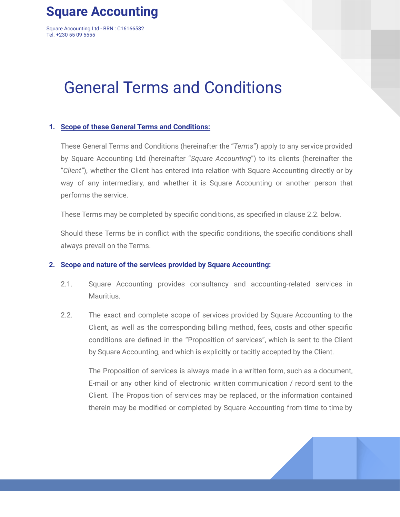# **Square Accounting**

Square Accounting Ltd - BRN : C16166532 Tel. +230 55 09 5555

# General Terms and Conditions

# **1. Scope of these General Terms and Conditions:**

These General Terms and Conditions (hereinafter the "*Terms*") apply to any service provided by Square Accounting Ltd (hereinafter "*Square Accounting*") to its clients (hereinafter the "*Client"*), whether the Client has entered into relation with Square Accounting directly or by way of any intermediary, and whether it is Square Accounting or another person that performs the service.

These Terms may be completed by specific conditions, as specified in clause 2.2. below.

Should these Terms be in conflict with the specific conditions, the specific conditions shall always prevail on the Terms.

# **2. Scope and nature of the services provided by Square Accounting:**

- 2.1. Square Accounting provides consultancy and accounting-related services in Mauritius.
- 2.2. The exact and complete scope of services provided by Square Accounting to the Client, as well as the corresponding billing method, fees, costs and other specific conditions are defined in the "Proposition of services", which is sent to the Client by Square Accounting, and which is explicitly or tacitly accepted by the Client.

The Proposition of services is always made in a written form, such as a document, E-mail or any other kind of electronic written communication / record sent to the Client. The Proposition of services may be replaced, or the information contained therein may be modified or completed by Square Accounting from time to time by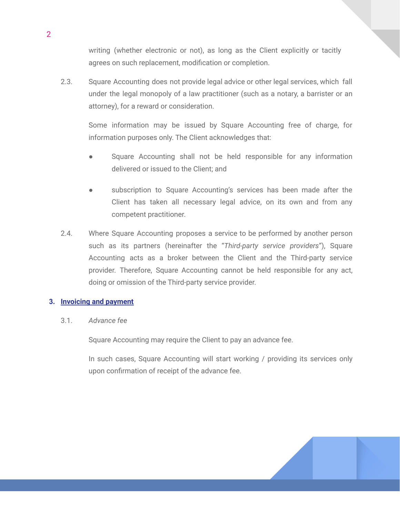writing (whether electronic or not), as long as the Client explicitly or tacitly agrees on such replacement, modification or completion.

2.3. Square Accounting does not provide legal advice or other legal services, which fall under the legal monopoly of a law practitioner (such as a notary, a barrister or an attorney), for a reward or consideration.

Some information may be issued by Square Accounting free of charge, for information purposes only. The Client acknowledges that:

- Square Accounting shall not be held responsible for any information delivered or issued to the Client; and
- subscription to Square Accounting's services has been made after the Client has taken all necessary legal advice, on its own and from any competent practitioner.
- 2.4. Where Square Accounting proposes a service to be performed by another person such as its partners (hereinafter the "*Third-party service providers*"), Square Accounting acts as a broker between the Client and the Third-party service provider. Therefore, Square Accounting cannot be held responsible for any act, doing or omission of the Third-party service provider.

# **3. Invoicing and payment**

3.1. *Advance fee*

Square Accounting may require the Client to pay an advance fee.

In such cases, Square Accounting will start working / providing its services only upon confirmation of receipt of the advance fee.

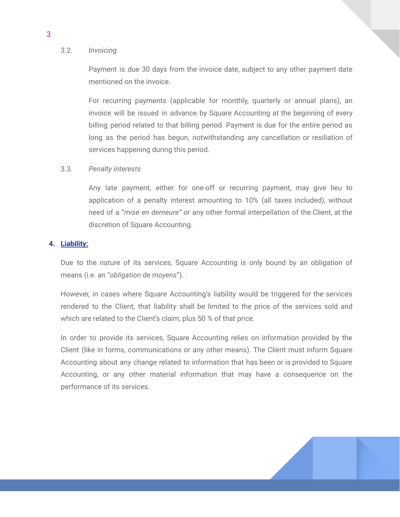#### 3.2. *Invoicing*

3

Payment is due 30 days from the invoice date, subject to any other payment date mentioned on the invoice.

For recurring payments (applicable for monthly, quarterly or annual plans), an invoice will be issued in advance by Square Accounting at the beginning of every billing period related to that billing period. Payment is due for the entire period as long as the period has begun, notwithstanding any cancellation or resiliation of services happening during this period.

#### 3.3. *Penalty interests*

Any late payment, either for one-off or recurring payment, may give lieu to application of a penalty interest amounting to 10% (all taxes included), without need of a "*mise en demeure"* or any other formal interpellation of the Client, at the discretion of Square Accounting.

# **4. Liability:**

Due to the nature of its services, Square Accounting is only bound by an obligation of means (i.e. an "*obligation de moyens*"). .

However, in cases where Square Accounting's liability would be triggered for the services rendered to the Client, that liability shall be limited to the price of the services sold and which are related to the Client's claim, plus 50 % of that price.

In order to provide its services, Square Accounting relies on information provided by the Client (like in forms, communications or any other means). The Client must inform Square Accounting about any change related to information that has been or is provided to Square Accounting, or any other material information that may have a consequence on the performance of its services.